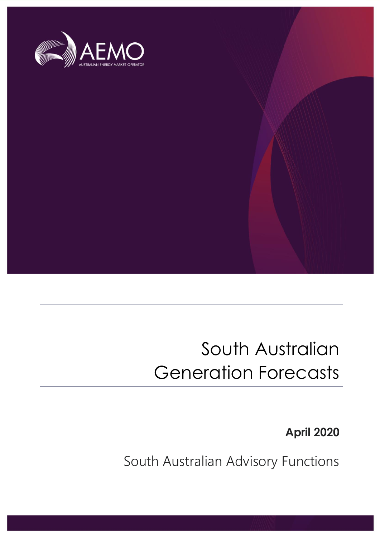

## South Australian Generation Forecasts

**April 2020**

South Australian Advisory Functions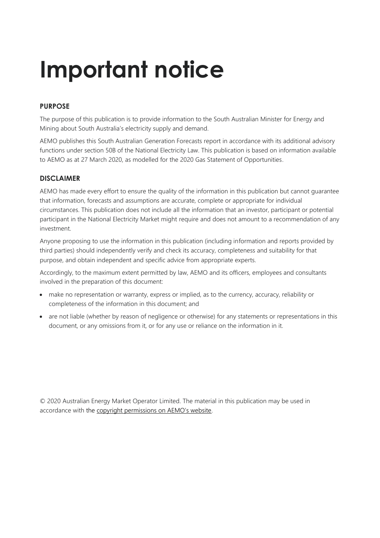## **Important notice**

## **PURPOSE**

The purpose of this publication is to provide information to the South Australian Minister for Energy and Mining about South Australia's electricity supply and demand.

AEMO publishes this South Australian Generation Forecasts report in accordance with its additional advisory functions under section 50B of the National Electricity Law. This publication is based on information available to AEMO as at 27 March 2020, as modelled for the 2020 Gas Statement of Opportunities.

## **DISCLAIMER**

AEMO has made every effort to ensure the quality of the information in this publication but cannot guarantee that information, forecasts and assumptions are accurate, complete or appropriate for individual circumstances. This publication does not include all the information that an investor, participant or potential participant in the National Electricity Market might require and does not amount to a recommendation of any investment.

Anyone proposing to use the information in this publication (including information and reports provided by third parties) should independently verify and check its accuracy, completeness and suitability for that purpose, and obtain independent and specific advice from appropriate experts.

Accordingly, to the maximum extent permitted by law, AEMO and its officers, employees and consultants involved in the preparation of this document:

- make no representation or warranty, express or implied, as to the currency, accuracy, reliability or completeness of the information in this document; and
- are not liable (whether by reason of negligence or otherwise) for any statements or representations in this document, or any omissions from it, or for any use or reliance on the information in it.

© 2020 Australian Energy Market Operator Limited. The material in this publication may be used in accordance with the [copyright permissions on AEMO's website](http://aemo.com.au/Privacy_and_Legal_Notices/Copyright_Permissions_Notice).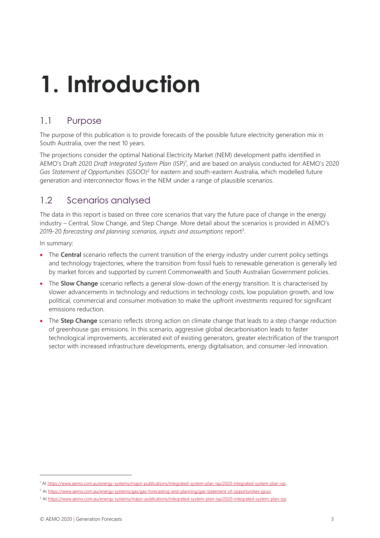## **1. Introduction**

## 1.1 Purpose

The purpose of this publication is to provide forecasts of the possible future electricity generation mix in South Australia, over the next 10 years.

The projections consider the optimal National Electricity Market (NEM) development paths identified in AEMO's Draft 2020 *Draft Integrated System Plan* (ISP)<sup>1</sup> , and are based on analysis conducted for AEMO's 2020 Gas Statement of Opportunities (GSOO)<sup>2</sup> for eastern and south-eastern Australia, which modelled future generation and interconnector flows in the NEM under a range of plausible scenarios.

## 1.2 Scenarios analysed

The data in this report is based on three core scenarios that vary the future pace of change in the energy industry – Central, Slow Change, and Step Change. More detail about the scenarios is provided in AEMO's 2019-20 *forecasting and planning scenarios, inputs and assumptions* report<sup>3</sup> .

In summary:

- The **Central** scenario reflects the current transition of the energy industry under current policy settings and technology trajectories, where the transition from fossil fuels to renewable generation is generally led by market forces and supported by current Commonwealth and South Australian Government policies.
- The **Slow Change** scenario reflects a general slow-down of the energy transition. It is characterised by slower advancements in technology and reductions in technology costs, low population growth, and low political, commercial and consumer motivation to make the upfront investments required for significant emissions reduction.
- The **Step Change** scenario reflects strong action on climate change that leads to a step change reduction of greenhouse gas emissions. In this scenario, aggressive global decarbonisation leads to faster technological improvements, accelerated exit of existing generators, greater electrification of the transport sector with increased infrastructure developments, energy digitalisation, and consumer-led innovation.

<sup>1</sup> A[t https://www.aemo.com.au/energy-systems/major-publications/integrated-system-plan-isp/2020-integrated-system-plan-isp.](https://www.aemo.com.au/energy-systems/major-publications/integrated-system-plan-isp/2020-integrated-system-plan-isp)

<sup>&</sup>lt;sup>2</sup> At https://www.aemo.com.au/energy-systems/gas/gas-forecasting-and-planning/gas-statement-of-opportunities-gsoo

<sup>&</sup>lt;sup>3</sup> A[t https://www.aemo.com.au/energy-systems/major-publications/integrated-system-plan-isp/2020-integrated-system-plan-isp.](https://www.aemo.com.au/energy-systems/major-publications/integrated-system-plan-isp/2020-integrated-system-plan-isp)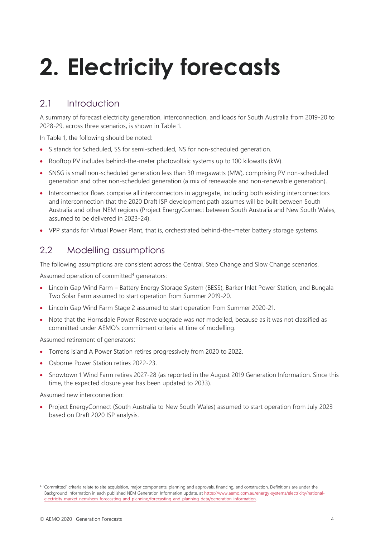# **2. Electricity forecasts**

## 2.1 Introduction

A summary of forecast electricity generation, interconnection, and loads for South Australia from 2019-20 to 2028-29, across three scenarios, is shown in Table 1.

In Table 1, the following should be noted:

- S stands for Scheduled, SS for semi-scheduled, NS for non-scheduled generation.
- Rooftop PV includes behind-the-meter photovoltaic systems up to 100 kilowatts (kW).
- SNSG is small non-scheduled generation less than 30 megawatts (MW), comprising PV non-scheduled generation and other non-scheduled generation (a mix of renewable and non-renewable generation).
- Interconnector flows comprise all interconnectors in aggregate, including both existing interconnectors and interconnection that the 2020 Draft ISP development path assumes will be built between South Australia and other NEM regions (Project EnergyConnect between South Australia and New South Wales, assumed to be delivered in 2023-24).
- VPP stands for Virtual Power Plant, that is, orchestrated behind-the-meter battery storage systems.

## 2.2 Modelling assumptions

The following assumptions are consistent across the Central, Step Change and Slow Change scenarios.

Assumed operation of committed<sup>4</sup> generators:

- Lincoln Gap Wind Farm Battery Energy Storage System (BESS), Barker Inlet Power Station, and Bungala Two Solar Farm assumed to start operation from Summer 2019-20.
- Lincoln Gap Wind Farm Stage 2 assumed to start operation from Summer 2020-21.
- Note that the Hornsdale Power Reserve upgrade was *not* modelled, because as it was not classified as committed under AEMO's commitment criteria at time of modelling.

Assumed retirement of generators:

- Torrens Island A Power Station retires progressively from 2020 to 2022.
- Osborne Power Station retires 2022-23.
- Snowtown 1 Wind Farm retires 2027-28 (as reported in the August 2019 Generation Information. Since this time, the expected closure year has been updated to 2033).

Assumed new interconnection:

• Project EnergyConnect (South Australia to New South Wales) assumed to start operation from July 2023 based on Draft 2020 ISP analysis.

<sup>4</sup> "Committed" criteria relate to site acquisition, major components, planning and approvals, financing, and construction. Definitions are under the Background Information in each published NEM Generation Information update, at [https://www.aemo.com.au/energy-systems/electricity/national](https://www.aemo.com.au/energy-systems/electricity/national-electricity-market-nem/nem-forecasting-and-planning/forecasting-and-planning-data/generation-information)[electricity-market-nem/nem-forecasting-and-planning/forecasting-and-planning-data/generation-information.](https://www.aemo.com.au/energy-systems/electricity/national-electricity-market-nem/nem-forecasting-and-planning/forecasting-and-planning-data/generation-information)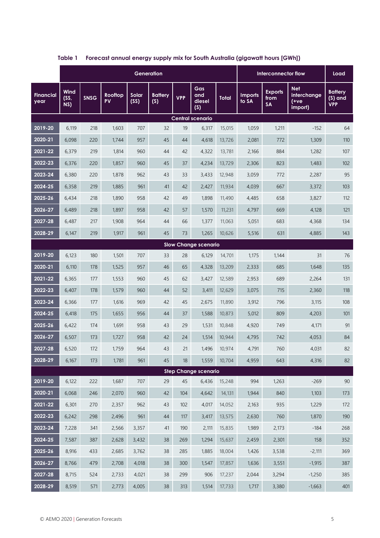|                             | Generation            |      |               |               |                       |            |                             |              | Interconnector flow     |                                     |                                                | Load                                      |
|-----------------------------|-----------------------|------|---------------|---------------|-----------------------|------------|-----------------------------|--------------|-------------------------|-------------------------------------|------------------------------------------------|-------------------------------------------|
| <b>Financial</b><br>year    | Wind<br>$(SS,$<br>NS) | SNSG | Rooftop<br>PV | Solar<br>(SS) | <b>Battery</b><br>(S) | <b>VPP</b> | Gas<br>and<br>diesel<br>(S) | <b>Total</b> | <b>Imports</b><br>to SA | <b>Exports</b><br>from<br><b>SA</b> | <b>Net</b><br>interchange<br>$(+ve$<br>import) | <b>Battery</b><br>$(S)$ and<br><b>VPP</b> |
| <b>Central scenario</b>     |                       |      |               |               |                       |            |                             |              |                         |                                     |                                                |                                           |
| 2019-20                     | 6,119                 | 218  | 1,603         | 707           | 32                    | 19         | 6,317                       | 15,015       | 1,059                   | 1,211                               | $-152$                                         | 64                                        |
| 2020-21                     | 6,098                 | 220  | 1,744         | 957           | 45                    | 44         | 4,618                       | 13,726       | 2,081                   | 772                                 | 1,309                                          | 110                                       |
| 2021-22                     | 6,379                 | 219  | 1,814         | 960           | 44                    | 42         | 4,322                       | 13,781       | 2,166                   | 884                                 | 1,282                                          | 107                                       |
| 2022-23                     | 6,376                 | 220  | 1,857         | 960           | 45                    | 37         | 4,234                       | 13,729       | 2,306                   | 823                                 | 1,483                                          | 102                                       |
| 2023-24                     | 6,380                 | 220  | 1,878         | 962           | 43                    | 33         | 3,433                       | 12,948       | 3,059                   | 772                                 | 2,287                                          | 95                                        |
| 2024-25                     | 6,358                 | 219  | 1,885         | 961           | 41                    | 42         | 2,427                       | 11,934       | 4,039                   | 667                                 | 3,372                                          | 103                                       |
| 2025-26                     | 6,434                 | 218  | 1,890         | 958           | 42                    | 49         | 1,898                       | 11,490       | 4,485                   | 658                                 | 3,827                                          | 112                                       |
| 2026-27                     | 6,489                 | 218  | 1,897         | 958           | 42                    | 57         | 1,570                       | 11,231       | 4,797                   | 669                                 | 4,128                                          | 121                                       |
| 2027-28                     | 6,487                 | 217  | 1,908         | 964           | 44                    | 66         | 1,377                       | 11,063       | 5,051                   | 683                                 | 4,368                                          | 134                                       |
| 2028-29                     | 6,147                 | 219  | 1,917         | 961           | 45                    | 73         | 1,265                       | 10,626       | 5,516                   | 631                                 | 4,885                                          | 143                                       |
| <b>Slow Change scenario</b> |                       |      |               |               |                       |            |                             |              |                         |                                     |                                                |                                           |
| 2019-20                     | 6,123                 | 180  | 1,501         | 707           | 33                    | 28         | 6,129                       | 14,701       | 1,175                   | 1,144                               | 31                                             | 76                                        |
| 2020-21                     | 6,110                 | 178  | 1,525         | 957           | 46                    | 65         | 4,328                       | 13,209       | 2,333                   | 685                                 | 1,648                                          | 135                                       |
| 2021-22                     | 6,365                 | 177  | 1,553         | 960           | 45                    | 62         | 3,427                       | 12,589       | 2,953                   | 689                                 | 2,264                                          | 131                                       |
| 2022-23                     | 6,407                 | 178  | 1,579         | 960           | 44                    | 52         | 3,411                       | 12,629       | 3,075                   | 715                                 | 2,360                                          | 118                                       |
| 2023-24                     | 6,366                 | 177  | 1,616         | 969           | 42                    | 45         | 2,675                       | 11,890       | 3,912                   | 796                                 | 3,115                                          | 108                                       |
| 2024-25                     | 6,418                 | 175  | 1,655         | 956           | 44                    | 37         | 1,588                       | 10,873       | 5,012                   | 809                                 | 4,203                                          | 101                                       |
| 2025-26                     | 6,422                 | 174  | 1,691         | 958           | 43                    | 29         | 1,531                       | 10,848       | 4,920                   | 749                                 | 4,171                                          | 91                                        |
| 2026-27                     | 6,507                 | 173  | 1,727         | 958           | 42                    | 24         | 1,514                       | 10,944       | 4,795                   | 742                                 | 4,053                                          | 84                                        |
| 2027-28                     | 6,520                 | 172  | 1,759         | 964           | 43                    | 21         | 1,496                       | 10,974       | 4,791                   | 760                                 | 4,031                                          | 82                                        |
| 2028-29                     | 6,167                 | 173  | 1,781         | 961           | 45                    | 18         | 1,559                       | 10,704       | 4,959                   | 643                                 | 4,316                                          | 82                                        |
| <b>Step Change scenario</b> |                       |      |               |               |                       |            |                             |              |                         |                                     |                                                |                                           |
| 2019-20                     | 6,122                 | 222  | 1,687         | 707           | 29                    | 45         | 6,436                       | 15,248       | 994                     | 1,263                               | $-269$                                         | 90                                        |
| 2020-21                     | 6,068                 | 246  | 2,070         | 960           | 42                    | 104        | 4,642                       | 14,131       | 1,944                   | 840                                 | 1,103                                          | 173                                       |
| 2021-22                     | 6,301                 | 270  | 2,357         | 962           | 43                    | 102        | 4,017                       | 14,052       | 2,163                   | 935                                 | 1,229                                          | 172                                       |
| 2022-23                     | 6,242                 | 298  | 2,496         | 961           | $44$                  | 117        | 3,417                       | 13,575       | 2,630                   | 760                                 | 1,870                                          | 190                                       |
| 2023-24                     | 7,228                 | 341  | 2,566         | 3,357         | 41                    | 190        | 2,111                       | 15,835       | 1,989                   | 2,173                               | $-184$                                         | 268                                       |
| 2024-25                     | 7,587                 | 387  | 2,628         | 3,432         | $38\,$                | 269        | 1,294                       | 15,637       | 2,459                   | 2,301                               | 158                                            | 352                                       |
| 2025-26                     | 8,916                 | 433  | 2,685         | 3,762         | 38                    | 285        | 1,885                       | 18,004       | 1,426                   | 3,538                               | $-2,111$                                       | 369                                       |
| 2026-27                     | 8,766                 | 479  | 2,708         | 4,018         | 38                    | 300        | 1,547                       | 17,857       | 1,636                   | 3,551                               | $-1,915$                                       | 387                                       |
| 2027-28                     | 8,715                 | 524  | 2,733         | 4,021         | 38                    | 299        | 906                         | 17,237       | 2,044                   | 3,294                               | $-1,250$                                       | 385                                       |
| 2028-29                     | 8,519                 | 571  | 2,773         | 4,005         | 38                    | 313        | 1,514                       | 17,733       | 1,717                   | 3,380                               | $-1,663$                                       | 401                                       |

**Table 1 Forecast annual energy supply mix for South Australia (gigawatt hours [GWh])**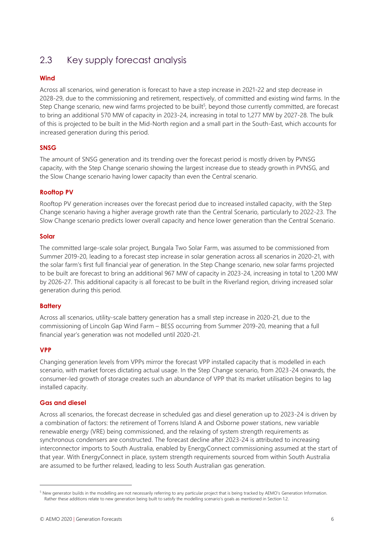## 2.3 Key supply forecast analysis

### **Wind**

Across all scenarios, wind generation is forecast to have a step increase in 2021-22 and step decrease in 2028-29, due to the commissioning and retirement, respectively, of committed and existing wind farms. In the Step Change scenario, new wind farms projected to be built<sup>5</sup>, beyond those currently committed, are forecast to bring an additional 570 MW of capacity in 2023-24, increasing in total to 1,277 MW by 2027-28. The bulk of this is projected to be built in the Mid-North region and a small part in the South-East, which accounts for increased generation during this period.

### **SNSG**

The amount of SNSG generation and its trending over the forecast period is mostly driven by PVNSG capacity, with the Step Change scenario showing the largest increase due to steady growth in PVNSG, and the Slow Change scenario having lower capacity than even the Central scenario.

### **Rooftop PV**

Rooftop PV generation increases over the forecast period due to increased installed capacity, with the Step Change scenario having a higher average growth rate than the Central Scenario, particularly to 2022-23. The Slow Change scenario predicts lower overall capacity and hence lower generation than the Central Scenario.

#### **Solar**

The committed large-scale solar project, Bungala Two Solar Farm, was assumed to be commissioned from Summer 2019-20, leading to a forecast step increase in solar generation across all scenarios in 2020-21, with the solar farm's first full financial year of generation. In the Step Change scenario, new solar farms projected to be built are forecast to bring an additional 967 MW of capacity in 2023-24, increasing in total to 1,200 MW by 2026-27. This additional capacity is all forecast to be built in the Riverland region, driving increased solar generation during this period.

### **Battery**

Across all scenarios, utility-scale battery generation has a small step increase in 2020-21, due to the commissioning of Lincoln Gap Wind Farm – BESS occurring from Summer 2019-20, meaning that a full financial year's generation was not modelled until 2020-21.

### **VPP**

Changing generation levels from VPPs mirror the forecast VPP installed capacity that is modelled in each scenario, with market forces dictating actual usage. In the Step Change scenario, from 2023-24 onwards, the consumer-led growth of storage creates such an abundance of VPP that its market utilisation begins to lag installed capacity.

### **Gas and diesel**

Across all scenarios, the forecast decrease in scheduled gas and diesel generation up to 2023-24 is driven by a combination of factors: the retirement of Torrens Island A and Osborne power stations, new variable renewable energy (VRE) being commissioned, and the relaxing of system strength requirements as synchronous condensers are constructed. The forecast decline after 2023-24 is attributed to increasing interconnector imports to South Australia, enabled by EnergyConnect commissioning assumed at the start of that year. With EnergyConnect in place, system strength requirements sourced from within South Australia are assumed to be further relaxed, leading to less South Australian gas generation.

<sup>5</sup> New generator builds in the modelling are not necessarily referring to any particular project that is being tracked by AEMO's Generation Information. Rather these additions relate to new generation being built to satisfy the modelling scenario's goals as mentioned in Section 1.2.